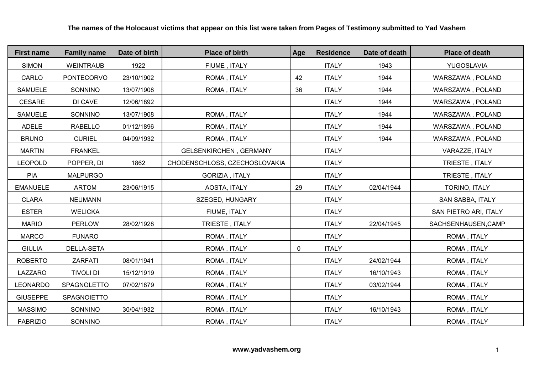| <b>First name</b> | <b>Family name</b> | Date of birth | <b>Place of birth</b>         | Age | <b>Residence</b> | Date of death | <b>Place of death</b> |
|-------------------|--------------------|---------------|-------------------------------|-----|------------------|---------------|-----------------------|
| <b>SIMON</b>      | <b>WEINTRAUB</b>   | 1922          | FIUME, ITALY                  |     | <b>ITALY</b>     | 1943          | YUGOSLAVIA            |
| CARLO             | PONTECORVO         | 23/10/1902    | ROMA, ITALY                   | 42  | <b>ITALY</b>     | 1944          | WARSZAWA, POLAND      |
| <b>SAMUELE</b>    | SONNINO            | 13/07/1908    | ROMA, ITALY                   | 36  | <b>ITALY</b>     | 1944          | WARSZAWA, POLAND      |
| <b>CESARE</b>     | DI CAVE            | 12/06/1892    |                               |     | <b>ITALY</b>     | 1944          | WARSZAWA, POLAND      |
| <b>SAMUELE</b>    | SONNINO            | 13/07/1908    | ROMA, ITALY                   |     | <b>ITALY</b>     | 1944          | WARSZAWA, POLAND      |
| ADELE             | <b>RABELLO</b>     | 01/12/1896    | ROMA, ITALY                   |     | <b>ITALY</b>     | 1944          | WARSZAWA, POLAND      |
| <b>BRUNO</b>      | <b>CURIEL</b>      | 04/09/1932    | ROMA, ITALY                   |     | <b>ITALY</b>     | 1944          | WARSZAWA, POLAND      |
| <b>MARTIN</b>     | <b>FRANKEL</b>     |               | <b>GELSENKIRCHEN, GERMANY</b> |     | <b>ITALY</b>     |               | VARAZZE, ITALY        |
| <b>LEOPOLD</b>    | POPPER, DI         | 1862          | CHODENSCHLOSS, CZECHOSLOVAKIA |     | <b>ITALY</b>     |               | TRIESTE, ITALY        |
| <b>PIA</b>        | <b>MALPURGO</b>    |               | GORIZIA, ITALY                |     | <b>ITALY</b>     |               | TRIESTE, ITALY        |
| <b>EMANUELE</b>   | <b>ARTOM</b>       | 23/06/1915    | AOSTA, ITALY                  | 29  | <b>ITALY</b>     | 02/04/1944    | TORINO, ITALY         |
| <b>CLARA</b>      | <b>NEUMANN</b>     |               | SZEGED, HUNGARY               |     | <b>ITALY</b>     |               | SAN SABBA, ITALY      |
| <b>ESTER</b>      | <b>WELICKA</b>     |               | FIUME, ITALY                  |     | <b>ITALY</b>     |               | SAN PIETRO ARI, ITALY |
| <b>MARIO</b>      | <b>PERLOW</b>      | 28/02/1928    | TRIESTE, ITALY                |     | <b>ITALY</b>     | 22/04/1945    | SACHSENHAUSEN, CAMP   |
| <b>MARCO</b>      | <b>FUNARO</b>      |               | ROMA, ITALY                   |     | <b>ITALY</b>     |               | ROMA, ITALY           |
| <b>GIULIA</b>     | DELLA-SETA         |               | ROMA, ITALY                   | 0   | <b>ITALY</b>     |               | ROMA, ITALY           |
| <b>ROBERTO</b>    | ZARFATI            | 08/01/1941    | ROMA, ITALY                   |     | <b>ITALY</b>     | 24/02/1944    | ROMA, ITALY           |
| LAZZARO           | <b>TIVOLI DI</b>   | 15/12/1919    | ROMA, ITALY                   |     | <b>ITALY</b>     | 16/10/1943    | ROMA, ITALY           |
| <b>LEONARDO</b>   | SPAGNOLETTO        | 07/02/1879    | ROMA, ITALY                   |     | <b>ITALY</b>     | 03/02/1944    | ROMA, ITALY           |
| <b>GIUSEPPE</b>   | <b>SPAGNOIETTO</b> |               | ROMA, ITALY                   |     | <b>ITALY</b>     |               | ROMA, ITALY           |
| <b>MASSIMO</b>    | SONNINO            | 30/04/1932    | ROMA, ITALY                   |     | <b>ITALY</b>     | 16/10/1943    | ROMA, ITALY           |
| <b>FABRIZIO</b>   | SONNINO            |               | ROMA, ITALY                   |     | <b>ITALY</b>     |               | ROMA, ITALY           |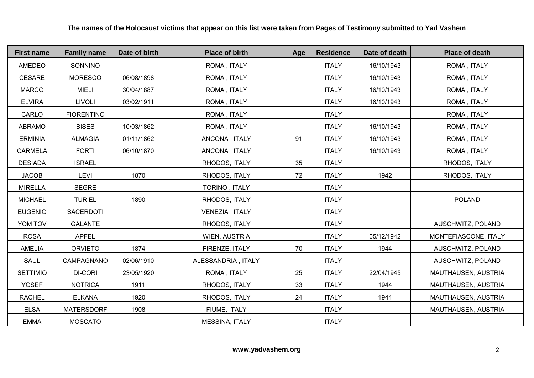| <b>First name</b> | <b>Family name</b> | Date of birth | <b>Place of birth</b> | Age | <b>Residence</b> | Date of death | <b>Place of death</b> |
|-------------------|--------------------|---------------|-----------------------|-----|------------------|---------------|-----------------------|
| AMEDEO            | SONNINO            |               | ROMA, ITALY           |     | <b>ITALY</b>     | 16/10/1943    | ROMA, ITALY           |
| <b>CESARE</b>     | <b>MORESCO</b>     | 06/08/1898    | ROMA, ITALY           |     | <b>ITALY</b>     | 16/10/1943    | ROMA, ITALY           |
| <b>MARCO</b>      | <b>MIELI</b>       | 30/04/1887    | ROMA, ITALY           |     | <b>ITALY</b>     | 16/10/1943    | ROMA, ITALY           |
| <b>ELVIRA</b>     | <b>LIVOLI</b>      | 03/02/1911    | ROMA, ITALY           |     | <b>ITALY</b>     | 16/10/1943    | ROMA, ITALY           |
| CARLO             | <b>FIORENTINO</b>  |               | ROMA, ITALY           |     | <b>ITALY</b>     |               | ROMA, ITALY           |
| <b>ABRAMO</b>     | <b>BISES</b>       | 10/03/1862    | ROMA, ITALY           |     | <b>ITALY</b>     | 16/10/1943    | ROMA, ITALY           |
| <b>ERMINIA</b>    | <b>ALMAGIA</b>     | 01/11/1862    | ANCONA, ITALY         | 91  | <b>ITALY</b>     | 16/10/1943    | ROMA, ITALY           |
| CARMELA           | <b>FORTI</b>       | 06/10/1870    | ANCONA, ITALY         |     | <b>ITALY</b>     | 16/10/1943    | ROMA, ITALY           |
| <b>DESIADA</b>    | <b>ISRAEL</b>      |               | RHODOS, ITALY         | 35  | <b>ITALY</b>     |               | RHODOS, ITALY         |
| <b>JACOB</b>      | LEVI               | 1870          | RHODOS, ITALY         | 72  | <b>ITALY</b>     | 1942          | RHODOS, ITALY         |
| <b>MIRELLA</b>    | <b>SEGRE</b>       |               | TORINO, ITALY         |     | <b>ITALY</b>     |               |                       |
| <b>MICHAEL</b>    | <b>TURIEL</b>      | 1890          | RHODOS, ITALY         |     | <b>ITALY</b>     |               | POLAND                |
| <b>EUGENIO</b>    | SACERDOTI          |               | VENEZIA, ITALY        |     | <b>ITALY</b>     |               |                       |
| YOM TOV           | <b>GALANTE</b>     |               | RHODOS, ITALY         |     | <b>ITALY</b>     |               | AUSCHWITZ, POLAND     |
| <b>ROSA</b>       | <b>APFEL</b>       |               | WIEN, AUSTRIA         |     | <b>ITALY</b>     | 05/12/1942    | MONTEFIASCONE, ITALY  |
| <b>AMELIA</b>     | <b>ORVIETO</b>     | 1874          | FIRENZE, ITALY        | 70  | <b>ITALY</b>     | 1944          | AUSCHWITZ, POLAND     |
| <b>SAUL</b>       | CAMPAGNANO         | 02/06/1910    | ALESSANDRIA, ITALY    |     | <b>ITALY</b>     |               | AUSCHWITZ, POLAND     |
| <b>SETTIMIO</b>   | <b>DI-CORI</b>     | 23/05/1920    | ROMA, ITALY           | 25  | <b>ITALY</b>     | 22/04/1945    | MAUTHAUSEN, AUSTRIA   |
| <b>YOSEF</b>      | <b>NOTRICA</b>     | 1911          | RHODOS, ITALY         | 33  | <b>ITALY</b>     | 1944          | MAUTHAUSEN, AUSTRIA   |
| <b>RACHEL</b>     | <b>ELKANA</b>      | 1920          | RHODOS, ITALY         | 24  | <b>ITALY</b>     | 1944          | MAUTHAUSEN, AUSTRIA   |
| <b>ELSA</b>       | <b>MATERSDORF</b>  | 1908          | FIUME, ITALY          |     | <b>ITALY</b>     |               | MAUTHAUSEN, AUSTRIA   |
| <b>EMMA</b>       | <b>MOSCATO</b>     |               | <b>MESSINA, ITALY</b> |     | <b>ITALY</b>     |               |                       |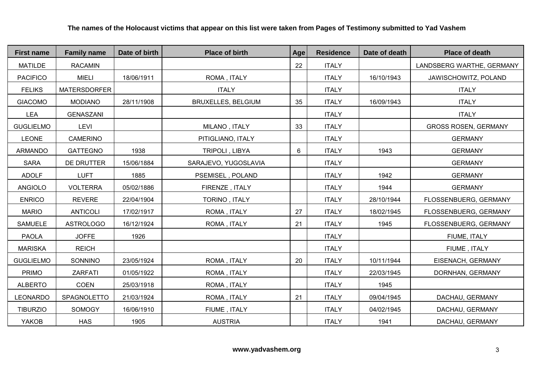| <b>First name</b> | <b>Family name</b>  | Date of birth | <b>Place of birth</b>     | Age | <b>Residence</b> | Date of death | <b>Place of death</b>       |
|-------------------|---------------------|---------------|---------------------------|-----|------------------|---------------|-----------------------------|
| <b>MATILDE</b>    | <b>RACAMIN</b>      |               |                           | 22  | <b>ITALY</b>     |               | LANDSBERG WARTHE, GERMANY   |
| <b>PACIFICO</b>   | <b>MIELI</b>        | 18/06/1911    | ROMA, ITALY               |     | <b>ITALY</b>     | 16/10/1943    | JAWISCHOWITZ, POLAND        |
| <b>FELIKS</b>     | <b>MATERSDORFER</b> |               | <b>ITALY</b>              |     | <b>ITALY</b>     |               | <b>ITALY</b>                |
| <b>GIACOMO</b>    | <b>MODIANO</b>      | 28/11/1908    | <b>BRUXELLES, BELGIUM</b> | 35  | <b>ITALY</b>     | 16/09/1943    | <b>ITALY</b>                |
| <b>LEA</b>        | <b>GENASZANI</b>    |               |                           |     | <b>ITALY</b>     |               | <b>ITALY</b>                |
| <b>GUGLIELMO</b>  | <b>LEVI</b>         |               | MILANO, ITALY             | 33  | <b>ITALY</b>     |               | <b>GROSS ROSEN, GERMANY</b> |
| <b>LEONE</b>      | <b>CAMERINO</b>     |               | PITIGLIANO, ITALY         |     | <b>ITALY</b>     |               | <b>GERMANY</b>              |
| <b>ARMANDO</b>    | <b>GATTEGNO</b>     | 1938          | TRIPOLI, LIBYA            | 6   | <b>ITALY</b>     | 1943          | <b>GERMANY</b>              |
| <b>SARA</b>       | DE DRUTTER          | 15/06/1884    | SARAJEVO, YUGOSLAVIA      |     | <b>ITALY</b>     |               | <b>GERMANY</b>              |
| <b>ADOLF</b>      | <b>LUFT</b>         | 1885          | PSEMISEL, POLAND          |     | <b>ITALY</b>     | 1942          | <b>GERMANY</b>              |
| <b>ANGIOLO</b>    | <b>VOLTERRA</b>     | 05/02/1886    | FIRENZE, ITALY            |     | <b>ITALY</b>     | 1944          | <b>GERMANY</b>              |
| <b>ENRICO</b>     | <b>REVERE</b>       | 22/04/1904    | TORINO, ITALY             |     | <b>ITALY</b>     | 28/10/1944    | FLOSSENBUERG, GERMANY       |
| <b>MARIO</b>      | <b>ANTICOLI</b>     | 17/02/1917    | ROMA, ITALY               | 27  | <b>ITALY</b>     | 18/02/1945    | FLOSSENBUERG, GERMANY       |
| <b>SAMUELE</b>    | <b>ASTROLOGO</b>    | 16/12/1924    | ROMA, ITALY               | 21  | <b>ITALY</b>     | 1945          | FLOSSENBUERG, GERMANY       |
| <b>PAOLA</b>      | <b>JOFFE</b>        | 1926          |                           |     | <b>ITALY</b>     |               | FIUME, ITALY                |
| <b>MARISKA</b>    | <b>REICH</b>        |               |                           |     | <b>ITALY</b>     |               | FIUME, ITALY                |
| <b>GUGLIELMO</b>  | SONNINO             | 23/05/1924    | ROMA, ITALY               | 20  | <b>ITALY</b>     | 10/11/1944    | EISENACH, GERMANY           |
| <b>PRIMO</b>      | <b>ZARFATI</b>      | 01/05/1922    | ROMA, ITALY               |     | <b>ITALY</b>     | 22/03/1945    | DORNHAN, GERMANY            |
| <b>ALBERTO</b>    | <b>COEN</b>         | 25/03/1918    | ROMA, ITALY               |     | <b>ITALY</b>     | 1945          |                             |
| <b>LEONARDO</b>   | SPAGNOLETTO         | 21/03/1924    | ROMA, ITALY               | 21  | <b>ITALY</b>     | 09/04/1945    | DACHAU, GERMANY             |
| <b>TIBURZIO</b>   | <b>SOMOGY</b>       | 16/06/1910    | FIUME, ITALY              |     | <b>ITALY</b>     | 04/02/1945    | DACHAU, GERMANY             |
| YAKOB             | <b>HAS</b>          | 1905          | <b>AUSTRIA</b>            |     | <b>ITALY</b>     | 1941          | DACHAU, GERMANY             |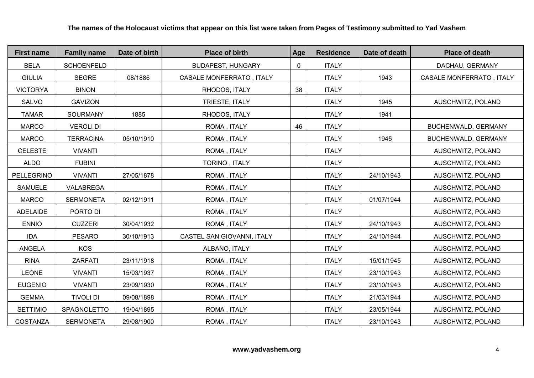| <b>First name</b> | <b>Family name</b> | Date of birth | <b>Place of birth</b>           | Age | <b>Residence</b> | Date of death | <b>Place of death</b>           |
|-------------------|--------------------|---------------|---------------------------------|-----|------------------|---------------|---------------------------------|
| <b>BELA</b>       | <b>SCHOENFELD</b>  |               | <b>BUDAPEST, HUNGARY</b>        | 0   | <b>ITALY</b>     |               | DACHAU, GERMANY                 |
| <b>GIULIA</b>     | <b>SEGRE</b>       | 08/1886       | <b>CASALE MONFERRATO, ITALY</b> |     | <b>ITALY</b>     | 1943          | <b>CASALE MONFERRATO, ITALY</b> |
| <b>VICTORYA</b>   | <b>BINON</b>       |               | RHODOS, ITALY                   | 38  | <b>ITALY</b>     |               |                                 |
| SALVO             | <b>GAVIZON</b>     |               | TRIESTE, ITALY                  |     | <b>ITALY</b>     | 1945          | AUSCHWITZ, POLAND               |
| <b>TAMAR</b>      | SOURMANY           | 1885          | RHODOS, ITALY                   |     | <b>ITALY</b>     | 1941          |                                 |
| <b>MARCO</b>      | <b>VEROLI DI</b>   |               | ROMA, ITALY                     | 46  | <b>ITALY</b>     |               | BUCHENWALD, GERMANY             |
| <b>MARCO</b>      | <b>TERRACINA</b>   | 05/10/1910    | ROMA, ITALY                     |     | <b>ITALY</b>     | 1945          | <b>BUCHENWALD, GERMANY</b>      |
| <b>CELESTE</b>    | <b>VIVANTI</b>     |               | ROMA, ITALY                     |     | <b>ITALY</b>     |               | AUSCHWITZ, POLAND               |
| <b>ALDO</b>       | <b>FUBINI</b>      |               | TORINO, ITALY                   |     | <b>ITALY</b>     |               | AUSCHWITZ, POLAND               |
| PELLEGRINO        | <b>VIVANTI</b>     | 27/05/1878    | ROMA, ITALY                     |     | <b>ITALY</b>     | 24/10/1943    | AUSCHWITZ, POLAND               |
| <b>SAMUELE</b>    | VALABREGA          |               | ROMA, ITALY                     |     | <b>ITALY</b>     |               | AUSCHWITZ, POLAND               |
| <b>MARCO</b>      | <b>SERMONETA</b>   | 02/12/1911    | ROMA, ITALY                     |     | <b>ITALY</b>     | 01/07/1944    | AUSCHWITZ, POLAND               |
| <b>ADELAIDE</b>   | PORTO DI           |               | ROMA, ITALY                     |     | <b>ITALY</b>     |               | AUSCHWITZ, POLAND               |
| <b>ENNIO</b>      | <b>CUZZERI</b>     | 30/04/1932    | ROMA, ITALY                     |     | <b>ITALY</b>     | 24/10/1943    | AUSCHWITZ, POLAND               |
| <b>IDA</b>        | <b>PESARO</b>      | 30/10/1913    | CASTEL SAN GIOVANNI, ITALY      |     | <b>ITALY</b>     | 24/10/1944    | AUSCHWITZ, POLAND               |
| <b>ANGELA</b>     | <b>KOS</b>         |               | ALBANO, ITALY                   |     | <b>ITALY</b>     |               | AUSCHWITZ, POLAND               |
| <b>RINA</b>       | ZARFATI            | 23/11/1918    | ROMA, ITALY                     |     | <b>ITALY</b>     | 15/01/1945    | AUSCHWITZ, POLAND               |
| <b>LEONE</b>      | <b>VIVANTI</b>     | 15/03/1937    | ROMA, ITALY                     |     | <b>ITALY</b>     | 23/10/1943    | AUSCHWITZ, POLAND               |
| <b>EUGENIO</b>    | <b>VIVANTI</b>     | 23/09/1930    | ROMA, ITALY                     |     | <b>ITALY</b>     | 23/10/1943    | AUSCHWITZ, POLAND               |
| <b>GEMMA</b>      | <b>TIVOLI DI</b>   | 09/08/1898    | ROMA, ITALY                     |     | <b>ITALY</b>     | 21/03/1944    | AUSCHWITZ, POLAND               |
| <b>SETTIMIO</b>   | SPAGNOLETTO        | 19/04/1895    | ROMA, ITALY                     |     | <b>ITALY</b>     | 23/05/1944    | AUSCHWITZ, POLAND               |
| COSTANZA          | <b>SERMONETA</b>   | 29/08/1900    | ROMA, ITALY                     |     | <b>ITALY</b>     | 23/10/1943    | AUSCHWITZ, POLAND               |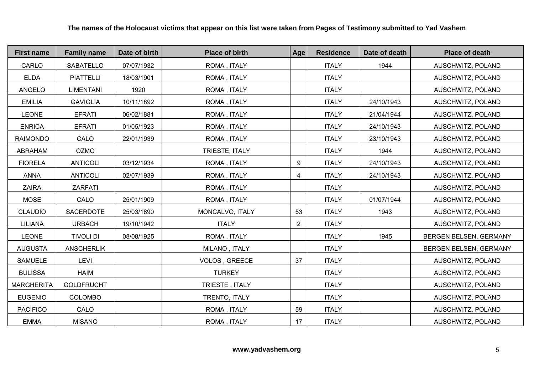| <b>First name</b> | <b>Family name</b> | Date of birth | <b>Place of birth</b> | Age            | <b>Residence</b> | Date of death | <b>Place of death</b>  |
|-------------------|--------------------|---------------|-----------------------|----------------|------------------|---------------|------------------------|
| CARLO             | <b>SABATELLO</b>   | 07/07/1932    | ROMA, ITALY           |                | <b>ITALY</b>     | 1944          | AUSCHWITZ, POLAND      |
| <b>ELDA</b>       | <b>PIATTELLI</b>   | 18/03/1901    | ROMA, ITALY           |                | <b>ITALY</b>     |               | AUSCHWITZ, POLAND      |
| ANGELO            | <b>LIMENTANI</b>   | 1920          | ROMA, ITALY           |                | <b>ITALY</b>     |               | AUSCHWITZ, POLAND      |
| <b>EMILIA</b>     | <b>GAVIGLIA</b>    | 10/11/1892    | ROMA, ITALY           |                | <b>ITALY</b>     | 24/10/1943    | AUSCHWITZ, POLAND      |
| <b>LEONE</b>      | <b>EFRATI</b>      | 06/02/1881    | ROMA, ITALY           |                | <b>ITALY</b>     | 21/04/1944    | AUSCHWITZ, POLAND      |
| <b>ENRICA</b>     | <b>EFRATI</b>      | 01/05/1923    | ROMA, ITALY           |                | <b>ITALY</b>     | 24/10/1943    | AUSCHWITZ, POLAND      |
| <b>RAIMONDO</b>   | CALO               | 22/01/1939    | ROMA, ITALY           |                | <b>ITALY</b>     | 23/10/1943    | AUSCHWITZ, POLAND      |
| ABRAHAM           | <b>OZMO</b>        |               | TRIESTE, ITALY        |                | <b>ITALY</b>     | 1944          | AUSCHWITZ, POLAND      |
| <b>FIORELA</b>    | <b>ANTICOLI</b>    | 03/12/1934    | ROMA, ITALY           | 9              | <b>ITALY</b>     | 24/10/1943    | AUSCHWITZ, POLAND      |
| <b>ANNA</b>       | <b>ANTICOLI</b>    | 02/07/1939    | ROMA, ITALY           | 4              | <b>ITALY</b>     | 24/10/1943    | AUSCHWITZ, POLAND      |
| <b>ZAIRA</b>      | <b>ZARFATI</b>     |               | ROMA, ITALY           |                | <b>ITALY</b>     |               | AUSCHWITZ, POLAND      |
| <b>MOSE</b>       | CALO               | 25/01/1909    | ROMA, ITALY           |                | <b>ITALY</b>     | 01/07/1944    | AUSCHWITZ, POLAND      |
| <b>CLAUDIO</b>    | SACERDOTE          | 25/03/1890    | MONCALVO, ITALY       | 53             | <b>ITALY</b>     | 1943          | AUSCHWITZ, POLAND      |
| <b>LILIANA</b>    | <b>URBACH</b>      | 19/10/1942    | <b>ITALY</b>          | $\overline{2}$ | <b>ITALY</b>     |               | AUSCHWITZ, POLAND      |
| <b>LEONE</b>      | <b>TIVOLI DI</b>   | 08/08/1925    | ROMA, ITALY           |                | <b>ITALY</b>     | 1945          | BERGEN BELSEN, GERMANY |
| <b>AUGUSTA</b>    | <b>ANSCHERLIK</b>  |               | MILANO, ITALY         |                | <b>ITALY</b>     |               | BERGEN BELSEN, GERMANY |
| <b>SAMUELE</b>    | LEVI               |               | VOLOS, GREECE         | 37             | <b>ITALY</b>     |               | AUSCHWITZ, POLAND      |
| <b>BULISSA</b>    | <b>HAIM</b>        |               | <b>TURKEY</b>         |                | <b>ITALY</b>     |               | AUSCHWITZ, POLAND      |
| <b>MARGHERITA</b> | <b>GOLDFRUCHT</b>  |               | TRIESTE, ITALY        |                | <b>ITALY</b>     |               | AUSCHWITZ, POLAND      |
| <b>EUGENIO</b>    | <b>COLOMBO</b>     |               | TRENTO, ITALY         |                | <b>ITALY</b>     |               | AUSCHWITZ, POLAND      |
| <b>PACIFICO</b>   | CALO               |               | ROMA, ITALY           | 59             | <b>ITALY</b>     |               | AUSCHWITZ, POLAND      |
| <b>EMMA</b>       | <b>MISANO</b>      |               | ROMA, ITALY           | 17             | <b>ITALY</b>     |               | AUSCHWITZ, POLAND      |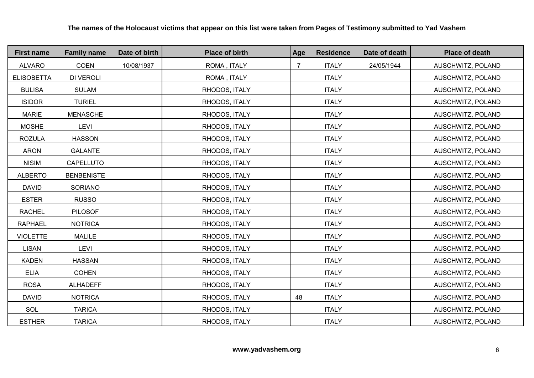| <b>First name</b> | <b>Family name</b> | Date of birth | <b>Place of birth</b> | Age            | <b>Residence</b> | Date of death | <b>Place of death</b> |
|-------------------|--------------------|---------------|-----------------------|----------------|------------------|---------------|-----------------------|
| <b>ALVARO</b>     | COEN               | 10/08/1937    | ROMA, ITALY           | $\overline{7}$ | <b>ITALY</b>     | 24/05/1944    | AUSCHWITZ, POLAND     |
| <b>ELISOBETTA</b> | <b>DI VEROLI</b>   |               | ROMA, ITALY           |                | <b>ITALY</b>     |               | AUSCHWITZ, POLAND     |
| <b>BULISA</b>     | <b>SULAM</b>       |               | RHODOS, ITALY         |                | <b>ITALY</b>     |               | AUSCHWITZ, POLAND     |
| <b>ISIDOR</b>     | <b>TURIEL</b>      |               | RHODOS, ITALY         |                | <b>ITALY</b>     |               | AUSCHWITZ, POLAND     |
| <b>MARIE</b>      | <b>MENASCHE</b>    |               | RHODOS, ITALY         |                | <b>ITALY</b>     |               | AUSCHWITZ, POLAND     |
| <b>MOSHE</b>      | LEVI               |               | RHODOS, ITALY         |                | <b>ITALY</b>     |               | AUSCHWITZ, POLAND     |
| <b>ROZULA</b>     | <b>HASSON</b>      |               | RHODOS, ITALY         |                | <b>ITALY</b>     |               | AUSCHWITZ, POLAND     |
| <b>ARON</b>       | <b>GALANTE</b>     |               | RHODOS, ITALY         |                | <b>ITALY</b>     |               | AUSCHWITZ, POLAND     |
| <b>NISIM</b>      | CAPELLUTO          |               | RHODOS, ITALY         |                | <b>ITALY</b>     |               | AUSCHWITZ, POLAND     |
| <b>ALBERTO</b>    | <b>BENBENISTE</b>  |               | RHODOS, ITALY         |                | <b>ITALY</b>     |               | AUSCHWITZ, POLAND     |
| <b>DAVID</b>      | <b>SORIANO</b>     |               | RHODOS, ITALY         |                | <b>ITALY</b>     |               | AUSCHWITZ, POLAND     |
| <b>ESTER</b>      | <b>RUSSO</b>       |               | RHODOS, ITALY         |                | <b>ITALY</b>     |               | AUSCHWITZ, POLAND     |
| <b>RACHEL</b>     | <b>PILOSOF</b>     |               | RHODOS, ITALY         |                | <b>ITALY</b>     |               | AUSCHWITZ, POLAND     |
| <b>RAPHAEL</b>    | <b>NOTRICA</b>     |               | RHODOS, ITALY         |                | <b>ITALY</b>     |               | AUSCHWITZ, POLAND     |
| <b>VIOLETTE</b>   | <b>MALILE</b>      |               | RHODOS, ITALY         |                | <b>ITALY</b>     |               | AUSCHWITZ, POLAND     |
| <b>LISAN</b>      | <b>LEVI</b>        |               | RHODOS, ITALY         |                | <b>ITALY</b>     |               | AUSCHWITZ, POLAND     |
| <b>KADEN</b>      | <b>HASSAN</b>      |               | RHODOS, ITALY         |                | <b>ITALY</b>     |               | AUSCHWITZ, POLAND     |
| <b>ELIA</b>       | <b>COHEN</b>       |               | RHODOS, ITALY         |                | <b>ITALY</b>     |               | AUSCHWITZ, POLAND     |
| <b>ROSA</b>       | <b>ALHADEFF</b>    |               | RHODOS, ITALY         |                | <b>ITALY</b>     |               | AUSCHWITZ, POLAND     |
| <b>DAVID</b>      | <b>NOTRICA</b>     |               | RHODOS, ITALY         | 48             | <b>ITALY</b>     |               | AUSCHWITZ, POLAND     |
| SOL               | <b>TARICA</b>      |               | RHODOS, ITALY         |                | <b>ITALY</b>     |               | AUSCHWITZ, POLAND     |
| <b>ESTHER</b>     | <b>TARICA</b>      |               | RHODOS, ITALY         |                | <b>ITALY</b>     |               | AUSCHWITZ, POLAND     |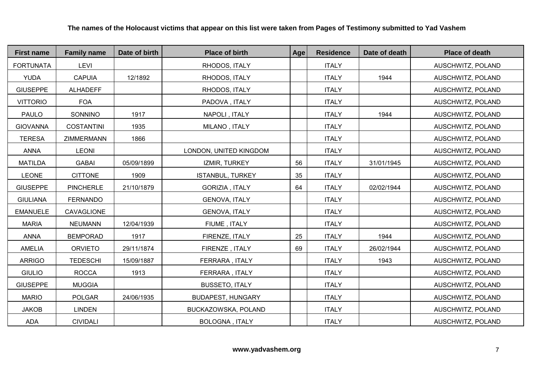| <b>First name</b> | <b>Family name</b> | Date of birth | <b>Place of birth</b>    | Age | <b>Residence</b> | Date of death | <b>Place of death</b> |
|-------------------|--------------------|---------------|--------------------------|-----|------------------|---------------|-----------------------|
| <b>FORTUNATA</b>  | <b>LEVI</b>        |               | RHODOS, ITALY            |     | <b>ITALY</b>     |               | AUSCHWITZ, POLAND     |
| <b>YUDA</b>       | <b>CAPUIA</b>      | 12/1892       | RHODOS, ITALY            |     | <b>ITALY</b>     | 1944          | AUSCHWITZ, POLAND     |
| <b>GIUSEPPE</b>   | <b>ALHADEFF</b>    |               | RHODOS, ITALY            |     | <b>ITALY</b>     |               | AUSCHWITZ, POLAND     |
| <b>VITTORIO</b>   | <b>FOA</b>         |               | PADOVA, ITALY            |     | <b>ITALY</b>     |               | AUSCHWITZ, POLAND     |
| <b>PAULO</b>      | SONNINO            | 1917          | NAPOLI, ITALY            |     | <b>ITALY</b>     | 1944          | AUSCHWITZ, POLAND     |
| <b>GIOVANNA</b>   | <b>COSTANTINI</b>  | 1935          | MILANO, ITALY            |     | <b>ITALY</b>     |               | AUSCHWITZ, POLAND     |
| <b>TERESA</b>     | ZIMMERMANN         | 1866          |                          |     | <b>ITALY</b>     |               | AUSCHWITZ, POLAND     |
| <b>ANNA</b>       | <b>LEONI</b>       |               | LONDON, UNITED KINGDOM   |     | <b>ITALY</b>     |               | AUSCHWITZ, POLAND     |
| <b>MATILDA</b>    | <b>GABAI</b>       | 05/09/1899    | IZMIR, TURKEY            | 56  | <b>ITALY</b>     | 31/01/1945    | AUSCHWITZ, POLAND     |
| <b>LEONE</b>      | <b>CITTONE</b>     | 1909          | <b>ISTANBUL, TURKEY</b>  | 35  | <b>ITALY</b>     |               | AUSCHWITZ, POLAND     |
| <b>GIUSEPPE</b>   | <b>PINCHERLE</b>   | 21/10/1879    | GORIZIA, ITALY           | 64  | <b>ITALY</b>     | 02/02/1944    | AUSCHWITZ, POLAND     |
| <b>GIULIANA</b>   | <b>FERNANDO</b>    |               | <b>GENOVA, ITALY</b>     |     | <b>ITALY</b>     |               | AUSCHWITZ, POLAND     |
| <b>EMANUELE</b>   | CAVAGLIONE         |               | <b>GENOVA, ITALY</b>     |     | <b>ITALY</b>     |               | AUSCHWITZ, POLAND     |
| <b>MARIA</b>      | <b>NEUMANN</b>     | 12/04/1939    | FIUME, ITALY             |     | <b>ITALY</b>     |               | AUSCHWITZ, POLAND     |
| <b>ANNA</b>       | <b>BEMPORAD</b>    | 1917          | FIRENZE, ITALY           | 25  | <b>ITALY</b>     | 1944          | AUSCHWITZ, POLAND     |
| <b>AMELIA</b>     | <b>ORVIETO</b>     | 29/11/1874    | FIRENZE, ITALY           | 69  | <b>ITALY</b>     | 26/02/1944    | AUSCHWITZ, POLAND     |
| <b>ARRIGO</b>     | <b>TEDESCHI</b>    | 15/09/1887    | FERRARA, ITALY           |     | <b>ITALY</b>     | 1943          | AUSCHWITZ, POLAND     |
| <b>GIULIO</b>     | <b>ROCCA</b>       | 1913          | FERRARA, ITALY           |     | <b>ITALY</b>     |               | AUSCHWITZ, POLAND     |
| <b>GIUSEPPE</b>   | <b>MUGGIA</b>      |               | <b>BUSSETO, ITALY</b>    |     | <b>ITALY</b>     |               | AUSCHWITZ, POLAND     |
| <b>MARIO</b>      | <b>POLGAR</b>      | 24/06/1935    | <b>BUDAPEST, HUNGARY</b> |     | <b>ITALY</b>     |               | AUSCHWITZ, POLAND     |
| <b>JAKOB</b>      | <b>LINDEN</b>      |               | BUCKAZOWSKA, POLAND      |     | <b>ITALY</b>     |               | AUSCHWITZ, POLAND     |
| ADA               | <b>CIVIDALI</b>    |               | BOLOGNA, ITALY           |     | <b>ITALY</b>     |               | AUSCHWITZ, POLAND     |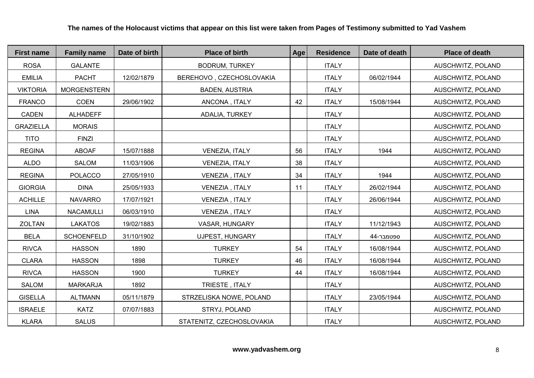| <b>First name</b> | <b>Family name</b> | Date of birth | <b>Place of birth</b>     | Age | <b>Residence</b> | Date of death | <b>Place of death</b> |
|-------------------|--------------------|---------------|---------------------------|-----|------------------|---------------|-----------------------|
| <b>ROSA</b>       | <b>GALANTE</b>     |               | <b>BODRUM, TURKEY</b>     |     | <b>ITALY</b>     |               | AUSCHWITZ, POLAND     |
| <b>EMILIA</b>     | <b>PACHT</b>       | 12/02/1879    | BEREHOVO, CZECHOSLOVAKIA  |     | <b>ITALY</b>     | 06/02/1944    | AUSCHWITZ, POLAND     |
| <b>VIKTORIA</b>   | <b>MORGENSTERN</b> |               | <b>BADEN, AUSTRIA</b>     |     | <b>ITALY</b>     |               | AUSCHWITZ, POLAND     |
| <b>FRANCO</b>     | <b>COEN</b>        | 29/06/1902    | ANCONA, ITALY             | 42  | <b>ITALY</b>     | 15/08/1944    | AUSCHWITZ, POLAND     |
| CADEN             | <b>ALHADEFF</b>    |               | ADALIA, TURKEY            |     | <b>ITALY</b>     |               | AUSCHWITZ, POLAND     |
| <b>GRAZIELLA</b>  | <b>MORAIS</b>      |               |                           |     | <b>ITALY</b>     |               | AUSCHWITZ, POLAND     |
| <b>TITO</b>       | <b>FINZI</b>       |               |                           |     | <b>ITALY</b>     |               | AUSCHWITZ, POLAND     |
| <b>REGINA</b>     | <b>ABOAF</b>       | 15/07/1888    | VENEZIA, ITALY            | 56  | <b>ITALY</b>     | 1944          | AUSCHWITZ, POLAND     |
| <b>ALDO</b>       | SALOM              | 11/03/1906    | <b>VENEZIA, ITALY</b>     | 38  | <b>ITALY</b>     |               | AUSCHWITZ, POLAND     |
| <b>REGINA</b>     | <b>POLACCO</b>     | 27/05/1910    | VENEZIA, ITALY            | 34  | <b>ITALY</b>     | 1944          | AUSCHWITZ, POLAND     |
| <b>GIORGIA</b>    | <b>DINA</b>        | 25/05/1933    | VENEZIA, ITALY            | 11  | <b>ITALY</b>     | 26/02/1944    | AUSCHWITZ, POLAND     |
| <b>ACHILLE</b>    | <b>NAVARRO</b>     | 17/07/1921    | VENEZIA, ITALY            |     | <b>ITALY</b>     | 26/06/1944    | AUSCHWITZ, POLAND     |
| <b>LINA</b>       | <b>NACAMULLI</b>   | 06/03/1910    | VENEZIA, ITALY            |     | <b>ITALY</b>     |               | AUSCHWITZ, POLAND     |
| ZOLTAN            | <b>LAKATOS</b>     | 19/02/1883    | VASAR, HUNGARY            |     | <b>ITALY</b>     | 11/12/1943    | AUSCHWITZ, POLAND     |
| <b>BELA</b>       | <b>SCHOENFELD</b>  | 31/10/1902    | <b>UJPEST, HUNGARY</b>    |     | <b>ITALY</b>     | 44-ספטמבר     | AUSCHWITZ, POLAND     |
| <b>RIVCA</b>      | <b>HASSON</b>      | 1890          | <b>TURKEY</b>             | 54  | <b>ITALY</b>     | 16/08/1944    | AUSCHWITZ, POLAND     |
| <b>CLARA</b>      | <b>HASSON</b>      | 1898          | <b>TURKEY</b>             | 46  | <b>ITALY</b>     | 16/08/1944    | AUSCHWITZ, POLAND     |
| <b>RIVCA</b>      | <b>HASSON</b>      | 1900          | <b>TURKEY</b>             | 44  | <b>ITALY</b>     | 16/08/1944    | AUSCHWITZ, POLAND     |
| SALOM             | <b>MARKARJA</b>    | 1892          | TRIESTE, ITALY            |     | <b>ITALY</b>     |               | AUSCHWITZ, POLAND     |
| <b>GISELLA</b>    | <b>ALTMANN</b>     | 05/11/1879    | STRZELISKA NOWE, POLAND   |     | <b>ITALY</b>     | 23/05/1944    | AUSCHWITZ, POLAND     |
| <b>ISRAELE</b>    | <b>KATZ</b>        | 07/07/1883    | STRYJ, POLAND             |     | <b>ITALY</b>     |               | AUSCHWITZ, POLAND     |
| <b>KLARA</b>      | <b>SALUS</b>       |               | STATENITZ, CZECHOSLOVAKIA |     | <b>ITALY</b>     |               | AUSCHWITZ, POLAND     |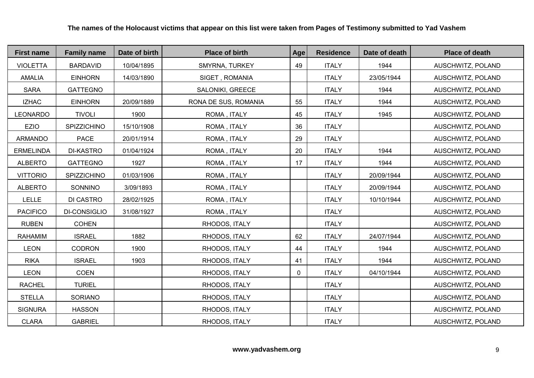| <b>First name</b> | <b>Family name</b>  | Date of birth | <b>Place of birth</b> | Age         | <b>Residence</b> | Date of death | <b>Place of death</b> |
|-------------------|---------------------|---------------|-----------------------|-------------|------------------|---------------|-----------------------|
| <b>VIOLETTA</b>   | <b>BARDAVID</b>     | 10/04/1895    | SMYRNA, TURKEY        | 49          | <b>ITALY</b>     | 1944          | AUSCHWITZ, POLAND     |
| <b>AMALIA</b>     | <b>EINHORN</b>      | 14/03/1890    | SIGET, ROMANIA        |             | <b>ITALY</b>     | 23/05/1944    | AUSCHWITZ, POLAND     |
| <b>SARA</b>       | <b>GATTEGNO</b>     |               | SALONIKI, GREECE      |             | <b>ITALY</b>     | 1944          | AUSCHWITZ, POLAND     |
| <b>IZHAC</b>      | <b>EINHORN</b>      | 20/09/1889    | RONA DE SUS, ROMANIA  | 55          | <b>ITALY</b>     | 1944          | AUSCHWITZ, POLAND     |
| <b>LEONARDO</b>   | <b>TIVOLI</b>       | 1900          | ROMA, ITALY           | 45          | <b>ITALY</b>     | 1945          | AUSCHWITZ, POLAND     |
| EZIO              | SPIZZICHINO         | 15/10/1908    | ROMA, ITALY           | 36          | <b>ITALY</b>     |               | AUSCHWITZ, POLAND     |
| <b>ARMANDO</b>    | <b>PACE</b>         | 20/01/1914    | ROMA, ITALY           | 29          | <b>ITALY</b>     |               | AUSCHWITZ, POLAND     |
| <b>ERMELINDA</b>  | <b>DI-KASTRO</b>    | 01/04/1924    | ROMA, ITALY           | 20          | <b>ITALY</b>     | 1944          | AUSCHWITZ, POLAND     |
| <b>ALBERTO</b>    | <b>GATTEGNO</b>     | 1927          | ROMA, ITALY           | 17          | <b>ITALY</b>     | 1944          | AUSCHWITZ, POLAND     |
| <b>VITTORIO</b>   | SPIZZICHINO         | 01/03/1906    | ROMA, ITALY           |             | <b>ITALY</b>     | 20/09/1944    | AUSCHWITZ, POLAND     |
| <b>ALBERTO</b>    | SONNINO             | 3/09/1893     | ROMA, ITALY           |             | <b>ITALY</b>     | 20/09/1944    | AUSCHWITZ, POLAND     |
| <b>LELLE</b>      | <b>DI CASTRO</b>    | 28/02/1925    | ROMA, ITALY           |             | <b>ITALY</b>     | 10/10/1944    | AUSCHWITZ, POLAND     |
| <b>PACIFICO</b>   | <b>DI-CONSIGLIO</b> | 31/08/1927    | ROMA, ITALY           |             | <b>ITALY</b>     |               | AUSCHWITZ, POLAND     |
| <b>RUBEN</b>      | <b>COHEN</b>        |               | RHODOS, ITALY         |             | <b>ITALY</b>     |               | AUSCHWITZ, POLAND     |
| <b>RAHAMIM</b>    | <b>ISRAEL</b>       | 1882          | RHODOS, ITALY         | 62          | <b>ITALY</b>     | 24/07/1944    | AUSCHWITZ, POLAND     |
| <b>LEON</b>       | <b>CODRON</b>       | 1900          | RHODOS, ITALY         | 44          | <b>ITALY</b>     | 1944          | AUSCHWITZ, POLAND     |
| <b>RIKA</b>       | <b>ISRAEL</b>       | 1903          | RHODOS, ITALY         | 41          | <b>ITALY</b>     | 1944          | AUSCHWITZ, POLAND     |
| <b>LEON</b>       | <b>COEN</b>         |               | RHODOS, ITALY         | $\mathbf 0$ | <b>ITALY</b>     | 04/10/1944    | AUSCHWITZ, POLAND     |
| <b>RACHEL</b>     | <b>TURIEL</b>       |               | RHODOS, ITALY         |             | <b>ITALY</b>     |               | AUSCHWITZ, POLAND     |
| <b>STELLA</b>     | <b>SORIANO</b>      |               | RHODOS, ITALY         |             | <b>ITALY</b>     |               | AUSCHWITZ, POLAND     |
| <b>SIGNURA</b>    | <b>HASSON</b>       |               | RHODOS, ITALY         |             | <b>ITALY</b>     |               | AUSCHWITZ, POLAND     |
| <b>CLARA</b>      | <b>GABRIEL</b>      |               | RHODOS, ITALY         |             | <b>ITALY</b>     |               | AUSCHWITZ, POLAND     |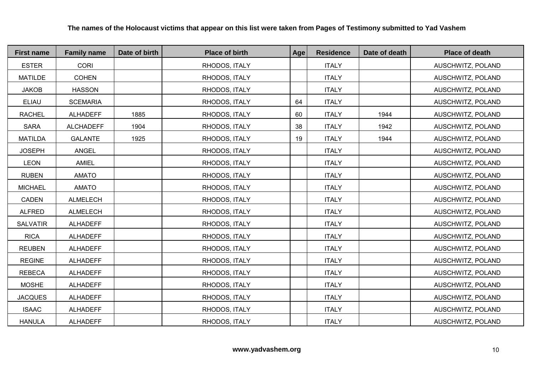| <b>First name</b> | <b>Family name</b> | Date of birth | <b>Place of birth</b> | Age | <b>Residence</b> | Date of death | <b>Place of death</b> |
|-------------------|--------------------|---------------|-----------------------|-----|------------------|---------------|-----------------------|
| <b>ESTER</b>      | <b>CORI</b>        |               | RHODOS, ITALY         |     | <b>ITALY</b>     |               | AUSCHWITZ, POLAND     |
| <b>MATILDE</b>    | <b>COHEN</b>       |               | RHODOS, ITALY         |     | <b>ITALY</b>     |               | AUSCHWITZ, POLAND     |
| <b>JAKOB</b>      | <b>HASSON</b>      |               | RHODOS, ITALY         |     | <b>ITALY</b>     |               | AUSCHWITZ, POLAND     |
| ELIAU             | <b>SCEMARIA</b>    |               | RHODOS, ITALY         | 64  | <b>ITALY</b>     |               | AUSCHWITZ, POLAND     |
| <b>RACHEL</b>     | <b>ALHADEFF</b>    | 1885          | RHODOS, ITALY         | 60  | <b>ITALY</b>     | 1944          | AUSCHWITZ, POLAND     |
| <b>SARA</b>       | <b>ALCHADEFF</b>   | 1904          | RHODOS, ITALY         | 38  | <b>ITALY</b>     | 1942          | AUSCHWITZ, POLAND     |
| <b>MATILDA</b>    | <b>GALANTE</b>     | 1925          | RHODOS, ITALY         | 19  | <b>ITALY</b>     | 1944          | AUSCHWITZ, POLAND     |
| <b>JOSEPH</b>     | ANGEL              |               | RHODOS, ITALY         |     | <b>ITALY</b>     |               | AUSCHWITZ, POLAND     |
| <b>LEON</b>       | <b>AMIEL</b>       |               | RHODOS, ITALY         |     | <b>ITALY</b>     |               | AUSCHWITZ, POLAND     |
| <b>RUBEN</b>      | <b>AMATO</b>       |               | RHODOS, ITALY         |     | <b>ITALY</b>     |               | AUSCHWITZ, POLAND     |
| <b>MICHAEL</b>    | <b>AMATO</b>       |               | RHODOS, ITALY         |     | <b>ITALY</b>     |               | AUSCHWITZ, POLAND     |
| CADEN             | <b>ALMELECH</b>    |               | RHODOS, ITALY         |     | <b>ITALY</b>     |               | AUSCHWITZ, POLAND     |
| <b>ALFRED</b>     | <b>ALMELECH</b>    |               | RHODOS, ITALY         |     | <b>ITALY</b>     |               | AUSCHWITZ, POLAND     |
| <b>SALVATIR</b>   | <b>ALHADEFF</b>    |               | RHODOS, ITALY         |     | <b>ITALY</b>     |               | AUSCHWITZ, POLAND     |
| <b>RICA</b>       | <b>ALHADEFF</b>    |               | RHODOS, ITALY         |     | <b>ITALY</b>     |               | AUSCHWITZ, POLAND     |
| <b>REUBEN</b>     | <b>ALHADEFF</b>    |               | RHODOS, ITALY         |     | <b>ITALY</b>     |               | AUSCHWITZ, POLAND     |
| <b>REGINE</b>     | <b>ALHADEFF</b>    |               | RHODOS, ITALY         |     | <b>ITALY</b>     |               | AUSCHWITZ, POLAND     |
| <b>REBECA</b>     | <b>ALHADEFF</b>    |               | RHODOS, ITALY         |     | <b>ITALY</b>     |               | AUSCHWITZ, POLAND     |
| <b>MOSHE</b>      | <b>ALHADEFF</b>    |               | RHODOS, ITALY         |     | <b>ITALY</b>     |               | AUSCHWITZ, POLAND     |
| <b>JACQUES</b>    | <b>ALHADEFF</b>    |               | RHODOS, ITALY         |     | <b>ITALY</b>     |               | AUSCHWITZ, POLAND     |
| <b>ISAAC</b>      | <b>ALHADEFF</b>    |               | RHODOS, ITALY         |     | <b>ITALY</b>     |               | AUSCHWITZ, POLAND     |
| <b>HANULA</b>     | <b>ALHADEFF</b>    |               | RHODOS, ITALY         |     | <b>ITALY</b>     |               | AUSCHWITZ, POLAND     |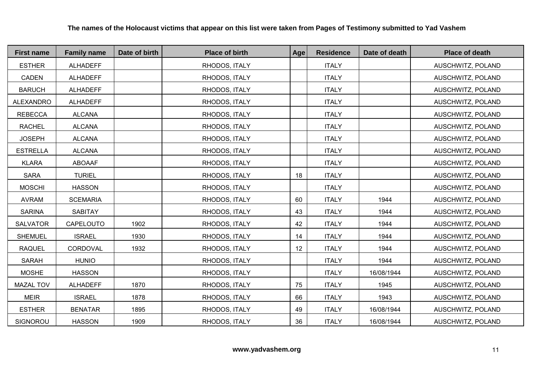| <b>First name</b> | <b>Family name</b> | Date of birth | <b>Place of birth</b> | Age | <b>Residence</b> | Date of death | <b>Place of death</b> |
|-------------------|--------------------|---------------|-----------------------|-----|------------------|---------------|-----------------------|
| <b>ESTHER</b>     | <b>ALHADEFF</b>    |               | RHODOS, ITALY         |     | <b>ITALY</b>     |               | AUSCHWITZ, POLAND     |
| CADEN             | <b>ALHADEFF</b>    |               | RHODOS, ITALY         |     | <b>ITALY</b>     |               | AUSCHWITZ, POLAND     |
| <b>BARUCH</b>     | <b>ALHADEFF</b>    |               | RHODOS, ITALY         |     | <b>ITALY</b>     |               | AUSCHWITZ, POLAND     |
| <b>ALEXANDRO</b>  | <b>ALHADEFF</b>    |               | RHODOS, ITALY         |     | <b>ITALY</b>     |               | AUSCHWITZ, POLAND     |
| <b>REBECCA</b>    | <b>ALCANA</b>      |               | RHODOS, ITALY         |     | <b>ITALY</b>     |               | AUSCHWITZ, POLAND     |
| <b>RACHEL</b>     | <b>ALCANA</b>      |               | RHODOS, ITALY         |     | <b>ITALY</b>     |               | AUSCHWITZ, POLAND     |
| <b>JOSEPH</b>     | <b>ALCANA</b>      |               | RHODOS, ITALY         |     | <b>ITALY</b>     |               | AUSCHWITZ, POLAND     |
| <b>ESTRELLA</b>   | <b>ALCANA</b>      |               | RHODOS, ITALY         |     | <b>ITALY</b>     |               | AUSCHWITZ, POLAND     |
| <b>KLARA</b>      | <b>ABOAAF</b>      |               | RHODOS, ITALY         |     | <b>ITALY</b>     |               | AUSCHWITZ, POLAND     |
| <b>SARA</b>       | <b>TURIEL</b>      |               | RHODOS, ITALY         | 18  | <b>ITALY</b>     |               | AUSCHWITZ, POLAND     |
| <b>MOSCHI</b>     | <b>HASSON</b>      |               | RHODOS, ITALY         |     | <b>ITALY</b>     |               | AUSCHWITZ, POLAND     |
| <b>AVRAM</b>      | <b>SCEMARIA</b>    |               | RHODOS, ITALY         | 60  | <b>ITALY</b>     | 1944          | AUSCHWITZ, POLAND     |
| <b>SARINA</b>     | <b>SABITAY</b>     |               | RHODOS, ITALY         | 43  | <b>ITALY</b>     | 1944          | AUSCHWITZ, POLAND     |
| <b>SALVATOR</b>   | CAPELOUTO          | 1902          | RHODOS, ITALY         | 42  | <b>ITALY</b>     | 1944          | AUSCHWITZ, POLAND     |
| <b>SHEMUEL</b>    | <b>ISRAEL</b>      | 1930          | RHODOS, ITALY         | 14  | <b>ITALY</b>     | 1944          | AUSCHWITZ, POLAND     |
| <b>RAQUEL</b>     | CORDOVAL           | 1932          | RHODOS, ITALY         | 12  | <b>ITALY</b>     | 1944          | AUSCHWITZ, POLAND     |
| SARAH             | <b>HUNIO</b>       |               | RHODOS, ITALY         |     | <b>ITALY</b>     | 1944          | AUSCHWITZ, POLAND     |
| <b>MOSHE</b>      | <b>HASSON</b>      |               | RHODOS, ITALY         |     | <b>ITALY</b>     | 16/08/1944    | AUSCHWITZ, POLAND     |
| <b>MAZAL TOV</b>  | <b>ALHADEFF</b>    | 1870          | RHODOS, ITALY         | 75  | <b>ITALY</b>     | 1945          | AUSCHWITZ, POLAND     |
| <b>MEIR</b>       | <b>ISRAEL</b>      | 1878          | RHODOS, ITALY         | 66  | <b>ITALY</b>     | 1943          | AUSCHWITZ, POLAND     |
| <b>ESTHER</b>     | <b>BENATAR</b>     | 1895          | RHODOS, ITALY         | 49  | <b>ITALY</b>     | 16/08/1944    | AUSCHWITZ, POLAND     |
| SIGNOROU          | <b>HASSON</b>      | 1909          | RHODOS, ITALY         | 36  | <b>ITALY</b>     | 16/08/1944    | AUSCHWITZ, POLAND     |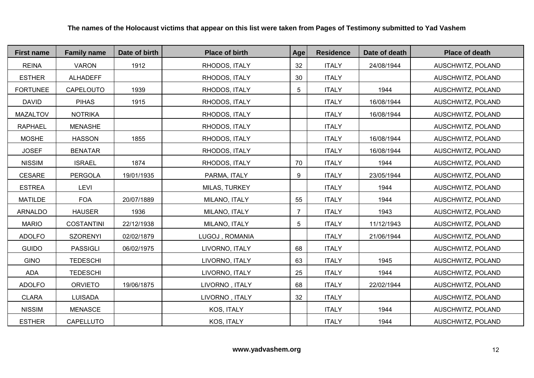| <b>First name</b> | <b>Family name</b> | Date of birth | <b>Place of birth</b> | Age             | <b>Residence</b> | Date of death | <b>Place of death</b> |
|-------------------|--------------------|---------------|-----------------------|-----------------|------------------|---------------|-----------------------|
| <b>REINA</b>      | <b>VARON</b>       | 1912          | RHODOS, ITALY         | 32              | <b>ITALY</b>     | 24/08/1944    | AUSCHWITZ, POLAND     |
| <b>ESTHER</b>     | <b>ALHADEFF</b>    |               | RHODOS, ITALY         | 30              | <b>ITALY</b>     |               | AUSCHWITZ, POLAND     |
| <b>FORTUNEE</b>   | CAPELOUTO          | 1939          | RHODOS, ITALY         | $5\overline{)}$ | <b>ITALY</b>     | 1944          | AUSCHWITZ, POLAND     |
| <b>DAVID</b>      | <b>PIHAS</b>       | 1915          | RHODOS, ITALY         |                 | <b>ITALY</b>     | 16/08/1944    | AUSCHWITZ, POLAND     |
| <b>MAZALTOV</b>   | <b>NOTRIKA</b>     |               | RHODOS, ITALY         |                 | <b>ITALY</b>     | 16/08/1944    | AUSCHWITZ, POLAND     |
| <b>RAPHAEL</b>    | <b>MENASHE</b>     |               | RHODOS, ITALY         |                 | <b>ITALY</b>     |               | AUSCHWITZ, POLAND     |
| <b>MOSHE</b>      | <b>HASSON</b>      | 1855          | RHODOS, ITALY         |                 | <b>ITALY</b>     | 16/08/1944    | AUSCHWITZ, POLAND     |
| <b>JOSEF</b>      | <b>BENATAR</b>     |               | RHODOS, ITALY         |                 | <b>ITALY</b>     | 16/08/1944    | AUSCHWITZ, POLAND     |
| <b>NISSIM</b>     | <b>ISRAEL</b>      | 1874          | RHODOS, ITALY         | 70              | <b>ITALY</b>     | 1944          | AUSCHWITZ, POLAND     |
| <b>CESARE</b>     | PERGOLA            | 19/01/1935    | PARMA, ITALY          | 9               | <b>ITALY</b>     | 23/05/1944    | AUSCHWITZ, POLAND     |
| <b>ESTREA</b>     | <b>LEVI</b>        |               | MILAS, TURKEY         |                 | <b>ITALY</b>     | 1944          | AUSCHWITZ, POLAND     |
| <b>MATILDE</b>    | <b>FOA</b>         | 20/07/1889    | MILANO, ITALY         | 55              | <b>ITALY</b>     | 1944          | AUSCHWITZ, POLAND     |
| <b>ARNALDO</b>    | <b>HAUSER</b>      | 1936          | MILANO, ITALY         | $\overline{7}$  | <b>ITALY</b>     | 1943          | AUSCHWITZ, POLAND     |
| <b>MARIO</b>      | <b>COSTANTINI</b>  | 22/12/1938    | MILANO, ITALY         | $5\overline{)}$ | <b>ITALY</b>     | 11/12/1943    | AUSCHWITZ, POLAND     |
| <b>ADOLFO</b>     | <b>SZORENYI</b>    | 02/02/1879    | LUGOJ, ROMANIA        |                 | <b>ITALY</b>     | 21/06/1944    | AUSCHWITZ, POLAND     |
| <b>GUIDO</b>      | <b>PASSIGLI</b>    | 06/02/1975    | LIVORNO, ITALY        | 68              | <b>ITALY</b>     |               | AUSCHWITZ, POLAND     |
| <b>GINO</b>       | <b>TEDESCHI</b>    |               | LIVORNO, ITALY        | 63              | <b>ITALY</b>     | 1945          | AUSCHWITZ, POLAND     |
| <b>ADA</b>        | <b>TEDESCHI</b>    |               | LIVORNO, ITALY        | 25              | <b>ITALY</b>     | 1944          | AUSCHWITZ, POLAND     |
| <b>ADOLFO</b>     | <b>ORVIETO</b>     | 19/06/1875    | LIVORNO, ITALY        | 68              | <b>ITALY</b>     | 22/02/1944    | AUSCHWITZ, POLAND     |
| <b>CLARA</b>      | <b>LUISADA</b>     |               | LIVORNO, ITALY        | 32              | <b>ITALY</b>     |               | AUSCHWITZ, POLAND     |
| <b>NISSIM</b>     | <b>MENASCE</b>     |               | KOS, ITALY            |                 | <b>ITALY</b>     | 1944          | AUSCHWITZ, POLAND     |
| <b>ESTHER</b>     | CAPELLUTO          |               | KOS, ITALY            |                 | <b>ITALY</b>     | 1944          | AUSCHWITZ, POLAND     |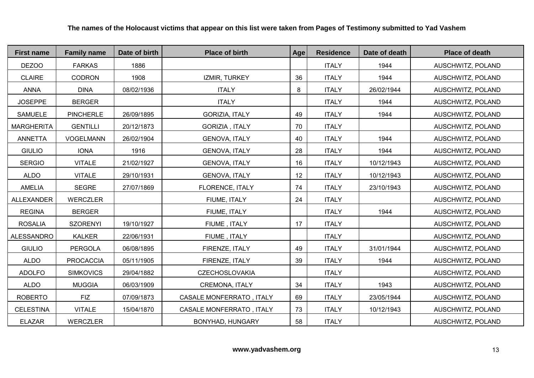| <b>First name</b> | <b>Family name</b> | Date of birth | <b>Place of birth</b>           | Age | <b>Residence</b> | Date of death | <b>Place of death</b> |
|-------------------|--------------------|---------------|---------------------------------|-----|------------------|---------------|-----------------------|
| DEZOO             | <b>FARKAS</b>      | 1886          |                                 |     | <b>ITALY</b>     | 1944          | AUSCHWITZ, POLAND     |
| <b>CLAIRE</b>     | <b>CODRON</b>      | 1908          | IZMIR, TURKEY                   | 36  | <b>ITALY</b>     | 1944          | AUSCHWITZ, POLAND     |
| <b>ANNA</b>       | <b>DINA</b>        | 08/02/1936    | <b>ITALY</b>                    | 8   | <b>ITALY</b>     | 26/02/1944    | AUSCHWITZ, POLAND     |
| <b>JOSEPPE</b>    | <b>BERGER</b>      |               | <b>ITALY</b>                    |     | <b>ITALY</b>     | 1944          | AUSCHWITZ, POLAND     |
| <b>SAMUELE</b>    | <b>PINCHERLE</b>   | 26/09/1895    | <b>GORIZIA, ITALY</b>           | 49  | <b>ITALY</b>     | 1944          | AUSCHWITZ, POLAND     |
| <b>MARGHERITA</b> | <b>GENTILLI</b>    | 20/12/1873    | GORIZIA, ITALY                  | 70  | <b>ITALY</b>     |               | AUSCHWITZ, POLAND     |
| <b>ANNETTA</b>    | <b>VOGELMANN</b>   | 26/02/1904    | <b>GENOVA, ITALY</b>            | 40  | <b>ITALY</b>     | 1944          | AUSCHWITZ, POLAND     |
| <b>GIULIO</b>     | <b>IONA</b>        | 1916          | <b>GENOVA, ITALY</b>            | 28  | <b>ITALY</b>     | 1944          | AUSCHWITZ, POLAND     |
| <b>SERGIO</b>     | <b>VITALE</b>      | 21/02/1927    | <b>GENOVA, ITALY</b>            | 16  | <b>ITALY</b>     | 10/12/1943    | AUSCHWITZ, POLAND     |
| <b>ALDO</b>       | <b>VITALE</b>      | 29/10/1931    | <b>GENOVA, ITALY</b>            | 12  | <b>ITALY</b>     | 10/12/1943    | AUSCHWITZ, POLAND     |
| <b>AMELIA</b>     | <b>SEGRE</b>       | 27/07/1869    | FLORENCE, ITALY                 | 74  | <b>ITALY</b>     | 23/10/1943    | AUSCHWITZ, POLAND     |
| <b>ALLEXANDER</b> | <b>WERCZLER</b>    |               | FIUME, ITALY                    | 24  | <b>ITALY</b>     |               | AUSCHWITZ, POLAND     |
| <b>REGINA</b>     | <b>BERGER</b>      |               | FIUME, ITALY                    |     | <b>ITALY</b>     | 1944          | AUSCHWITZ, POLAND     |
| <b>ROSALIA</b>    | <b>SZORENYI</b>    | 19/10/1927    | FIUME, ITALY                    | 17  | <b>ITALY</b>     |               | AUSCHWITZ, POLAND     |
| ALESSANDRO        | <b>KALKER</b>      | 22/06/1931    | FIUME, ITALY                    |     | <b>ITALY</b>     |               | AUSCHWITZ, POLAND     |
| <b>GIULIO</b>     | <b>PERGOLA</b>     | 06/08/1895    | FIRENZE, ITALY                  | 49  | <b>ITALY</b>     | 31/01/1944    | AUSCHWITZ, POLAND     |
| <b>ALDO</b>       | <b>PROCACCIA</b>   | 05/11/1905    | FIRENZE, ITALY                  | 39  | <b>ITALY</b>     | 1944          | AUSCHWITZ, POLAND     |
| <b>ADOLFO</b>     | <b>SIMKOVICS</b>   | 29/04/1882    | <b>CZECHOSLOVAKIA</b>           |     | <b>ITALY</b>     |               | AUSCHWITZ, POLAND     |
| <b>ALDO</b>       | <b>MUGGIA</b>      | 06/03/1909    | CREMONA, ITALY                  | 34  | <b>ITALY</b>     | 1943          | AUSCHWITZ, POLAND     |
| <b>ROBERTO</b>    | <b>FIZ</b>         | 07/09/1873    | CASALE MONFERRATO, ITALY        | 69  | <b>ITALY</b>     | 23/05/1944    | AUSCHWITZ, POLAND     |
| <b>CELESTINA</b>  | <b>VITALE</b>      | 15/04/1870    | <b>CASALE MONFERRATO, ITALY</b> | 73  | <b>ITALY</b>     | 10/12/1943    | AUSCHWITZ, POLAND     |
| <b>ELAZAR</b>     | <b>WERCZLER</b>    |               | <b>BONYHAD, HUNGARY</b>         | 58  | <b>ITALY</b>     |               | AUSCHWITZ, POLAND     |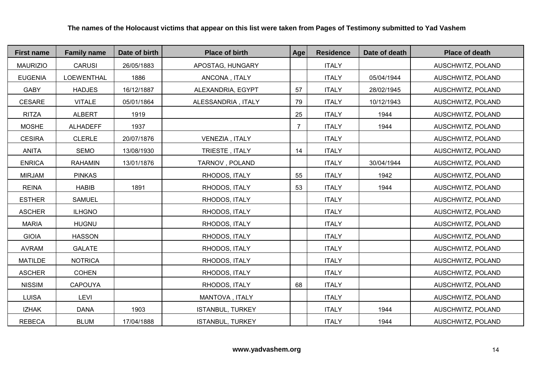| <b>First name</b> | <b>Family name</b> | Date of birth | <b>Place of birth</b>   | Age            | <b>Residence</b> | Date of death | <b>Place of death</b> |
|-------------------|--------------------|---------------|-------------------------|----------------|------------------|---------------|-----------------------|
| <b>MAURIZIO</b>   | <b>CARUSI</b>      | 26/05/1883    | APOSTAG, HUNGARY        |                | <b>ITALY</b>     |               | AUSCHWITZ, POLAND     |
| <b>EUGENIA</b>    | LOEWENTHAL         | 1886          | ANCONA, ITALY           |                | <b>ITALY</b>     | 05/04/1944    | AUSCHWITZ, POLAND     |
| <b>GABY</b>       | <b>HADJES</b>      | 16/12/1887    | ALEXANDRIA, EGYPT       | 57             | <b>ITALY</b>     | 28/02/1945    | AUSCHWITZ, POLAND     |
| <b>CESARE</b>     | <b>VITALE</b>      | 05/01/1864    | ALESSANDRIA, ITALY      | 79             | <b>ITALY</b>     | 10/12/1943    | AUSCHWITZ, POLAND     |
| <b>RITZA</b>      | <b>ALBERT</b>      | 1919          |                         | 25             | <b>ITALY</b>     | 1944          | AUSCHWITZ, POLAND     |
| <b>MOSHE</b>      | <b>ALHADEFF</b>    | 1937          |                         | $\overline{7}$ | <b>ITALY</b>     | 1944          | AUSCHWITZ, POLAND     |
| <b>CESIRA</b>     | <b>CLERLE</b>      | 20/07/1876    | VENEZIA, ITALY          |                | <b>ITALY</b>     |               | AUSCHWITZ, POLAND     |
| <b>ANITA</b>      | <b>SEMO</b>        | 13/08/1930    | TRIESTE, ITALY          | 14             | <b>ITALY</b>     |               | AUSCHWITZ, POLAND     |
| <b>ENRICA</b>     | <b>RAHAMIN</b>     | 13/01/1876    | TARNOV, POLAND          |                | <b>ITALY</b>     | 30/04/1944    | AUSCHWITZ, POLAND     |
| <b>MIRJAM</b>     | <b>PINKAS</b>      |               | RHODOS, ITALY           | 55             | <b>ITALY</b>     | 1942          | AUSCHWITZ, POLAND     |
| <b>REINA</b>      | <b>HABIB</b>       | 1891          | RHODOS, ITALY           | 53             | <b>ITALY</b>     | 1944          | AUSCHWITZ, POLAND     |
| <b>ESTHER</b>     | <b>SAMUEL</b>      |               | RHODOS, ITALY           |                | <b>ITALY</b>     |               | AUSCHWITZ, POLAND     |
| <b>ASCHER</b>     | <b>ILHGNO</b>      |               | RHODOS, ITALY           |                | <b>ITALY</b>     |               | AUSCHWITZ, POLAND     |
| <b>MARIA</b>      | <b>HUGNU</b>       |               | RHODOS, ITALY           |                | <b>ITALY</b>     |               | AUSCHWITZ, POLAND     |
| <b>GIOIA</b>      | <b>HASSON</b>      |               | RHODOS, ITALY           |                | <b>ITALY</b>     |               | AUSCHWITZ, POLAND     |
| <b>AVRAM</b>      | <b>GALATE</b>      |               | RHODOS, ITALY           |                | <b>ITALY</b>     |               | AUSCHWITZ, POLAND     |
| <b>MATILDE</b>    | <b>NOTRICA</b>     |               | RHODOS, ITALY           |                | <b>ITALY</b>     |               | AUSCHWITZ, POLAND     |
| <b>ASCHER</b>     | <b>COHEN</b>       |               | RHODOS, ITALY           |                | <b>ITALY</b>     |               | AUSCHWITZ, POLAND     |
| <b>NISSIM</b>     | <b>CAPOUYA</b>     |               | RHODOS, ITALY           | 68             | <b>ITALY</b>     |               | AUSCHWITZ, POLAND     |
| <b>LUISA</b>      | <b>LEVI</b>        |               | MANTOVA, ITALY          |                | <b>ITALY</b>     |               | AUSCHWITZ, POLAND     |
| <b>IZHAK</b>      | <b>DANA</b>        | 1903          | <b>ISTANBUL, TURKEY</b> |                | <b>ITALY</b>     | 1944          | AUSCHWITZ, POLAND     |
| <b>REBECA</b>     | <b>BLUM</b>        | 17/04/1888    | <b>ISTANBUL, TURKEY</b> |                | <b>ITALY</b>     | 1944          | AUSCHWITZ, POLAND     |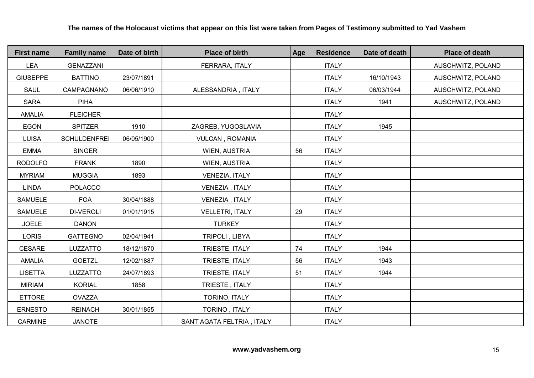| <b>First name</b> | <b>Family name</b>  | Date of birth | <b>Place of birth</b>     | <b>Age</b> | <b>Residence</b> | Date of death | <b>Place of death</b> |
|-------------------|---------------------|---------------|---------------------------|------------|------------------|---------------|-----------------------|
| <b>LEA</b>        | <b>GENAZZANI</b>    |               | FERRARA, ITALY            |            | <b>ITALY</b>     |               | AUSCHWITZ, POLAND     |
| <b>GIUSEPPE</b>   | <b>BATTINO</b>      | 23/07/1891    |                           |            | <b>ITALY</b>     | 16/10/1943    | AUSCHWITZ, POLAND     |
| <b>SAUL</b>       | CAMPAGNANO          | 06/06/1910    | ALESSANDRIA, ITALY        |            | <b>ITALY</b>     | 06/03/1944    | AUSCHWITZ, POLAND     |
| <b>SARA</b>       | <b>PIHA</b>         |               |                           |            | <b>ITALY</b>     | 1941          | AUSCHWITZ, POLAND     |
| <b>AMALIA</b>     | <b>FLEICHER</b>     |               |                           |            | <b>ITALY</b>     |               |                       |
| <b>EGON</b>       | <b>SPITZER</b>      | 1910          | ZAGREB, YUGOSLAVIA        |            | <b>ITALY</b>     | 1945          |                       |
| <b>LUISA</b>      | <b>SCHULDENFREI</b> | 06/05/1900    | <b>VULCAN, ROMANIA</b>    |            | <b>ITALY</b>     |               |                       |
| <b>EMMA</b>       | <b>SINGER</b>       |               | WIEN, AUSTRIA             | 56         | <b>ITALY</b>     |               |                       |
| <b>RODOLFO</b>    | <b>FRANK</b>        | 1890          | WIEN, AUSTRIA             |            | <b>ITALY</b>     |               |                       |
| <b>MYRIAM</b>     | <b>MUGGIA</b>       | 1893          | VENEZIA, ITALY            |            | <b>ITALY</b>     |               |                       |
| <b>LINDA</b>      | <b>POLACCO</b>      |               | VENEZIA, ITALY            |            | <b>ITALY</b>     |               |                       |
| <b>SAMUELE</b>    | <b>FOA</b>          | 30/04/1888    | VENEZIA, ITALY            |            | <b>ITALY</b>     |               |                       |
| <b>SAMUELE</b>    | <b>DI-VEROLI</b>    | 01/01/1915    | <b>VELLETRI, ITALY</b>    | 29         | <b>ITALY</b>     |               |                       |
| <b>JOELE</b>      | <b>DANON</b>        |               | <b>TURKEY</b>             |            | <b>ITALY</b>     |               |                       |
| <b>LORIS</b>      | <b>GATTEGNO</b>     | 02/04/1941    | TRIPOLI, LIBYA            |            | <b>ITALY</b>     |               |                       |
| <b>CESARE</b>     | LUZZATTO            | 18/12/1870    | TRIESTE, ITALY            | 74         | <b>ITALY</b>     | 1944          |                       |
| <b>AMALIA</b>     | <b>GOETZL</b>       | 12/02/1887    | TRIESTE, ITALY            | 56         | <b>ITALY</b>     | 1943          |                       |
| <b>LISETTA</b>    | LUZZATTO            | 24/07/1893    | TRIESTE, ITALY            | 51         | <b>ITALY</b>     | 1944          |                       |
| <b>MIRIAM</b>     | <b>KORIAL</b>       | 1858          | TRIESTE, ITALY            |            | <b>ITALY</b>     |               |                       |
| <b>ETTORE</b>     | OVAZZA              |               | TORINO, ITALY             |            | <b>ITALY</b>     |               |                       |
| <b>ERNESTO</b>    | <b>REINACH</b>      | 30/01/1855    | TORINO, ITALY             |            | <b>ITALY</b>     |               |                       |
| <b>CARMINE</b>    | <b>JANOTE</b>       |               | SANT`AGATA FELTRIA, ITALY |            | <b>ITALY</b>     |               |                       |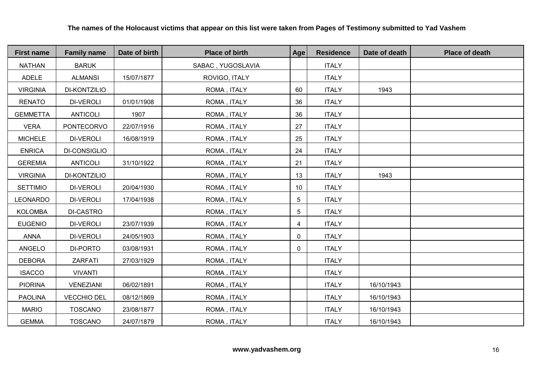| <b>First name</b> | <b>Family name</b>  | Date of birth | <b>Place of birth</b> | Age             | <b>Residence</b> | Date of death | <b>Place of death</b> |
|-------------------|---------------------|---------------|-----------------------|-----------------|------------------|---------------|-----------------------|
| <b>NATHAN</b>     | <b>BARUK</b>        |               | SABAC, YUGOSLAVIA     |                 | <b>ITALY</b>     |               |                       |
| ADELE             | <b>ALMANSI</b>      | 15/07/1877    | ROVIGO, ITALY         |                 | <b>ITALY</b>     |               |                       |
| <b>VIRGINIA</b>   | <b>DI-KONTZILIO</b> |               | ROMA, ITALY           | 60              | <b>ITALY</b>     | 1943          |                       |
| <b>RENATO</b>     | <b>DI-VEROLI</b>    | 01/01/1908    | ROMA, ITALY           | 36              | <b>ITALY</b>     |               |                       |
| <b>GEMMETTA</b>   | <b>ANTICOLI</b>     | 1907          | ROMA, ITALY           | 36              | <b>ITALY</b>     |               |                       |
| <b>VERA</b>       | <b>PONTECORVO</b>   | 22/07/1916    | ROMA, ITALY           | 27              | <b>ITALY</b>     |               |                       |
| <b>MICHELE</b>    | <b>DI-VEROLI</b>    | 16/08/1919    | ROMA, ITALY           | 25              | <b>ITALY</b>     |               |                       |
| <b>ENRICA</b>     | DI-CONSIGLIO        |               | ROMA, ITALY           | 24              | <b>ITALY</b>     |               |                       |
| <b>GEREMIA</b>    | <b>ANTICOLI</b>     | 31/10/1922    | ROMA, ITALY           | 21              | <b>ITALY</b>     |               |                       |
| <b>VIRGINIA</b>   | <b>DI-KONTZILIO</b> |               | ROMA, ITALY           | 13              | <b>ITALY</b>     | 1943          |                       |
| <b>SETTIMIO</b>   | <b>DI-VEROLI</b>    | 20/04/1930    | ROMA, ITALY           | 10 <sup>°</sup> | <b>ITALY</b>     |               |                       |
| <b>LEONARDO</b>   | <b>DI-VEROLI</b>    | 17/04/1938    | ROMA, ITALY           | 5               | <b>ITALY</b>     |               |                       |
| <b>KOLOMBA</b>    | DI-CASTRO           |               | ROMA, ITALY           | $5\phantom{.0}$ | <b>ITALY</b>     |               |                       |
| <b>EUGENIO</b>    | <b>DI-VEROLI</b>    | 23/07/1939    | ROMA, ITALY           | $\overline{4}$  | <b>ITALY</b>     |               |                       |
| <b>ANNA</b>       | <b>DI-VEROLI</b>    | 24/05/1903    | ROMA, ITALY           | 0               | <b>ITALY</b>     |               |                       |
| ANGELO            | DI-PORTO            | 03/08/1931    | ROMA, ITALY           | 0               | <b>ITALY</b>     |               |                       |
| <b>DEBORA</b>     | <b>ZARFATI</b>      | 27/03/1929    | ROMA, ITALY           |                 | <b>ITALY</b>     |               |                       |
| <b>ISACCO</b>     | <b>VIVANTI</b>      |               | ROMA, ITALY           |                 | <b>ITALY</b>     |               |                       |
| <b>PIORINA</b>    | VENEZIANI           | 06/02/1891    | ROMA, ITALY           |                 | <b>ITALY</b>     | 16/10/1943    |                       |
| <b>PAOLINA</b>    | <b>VECCHIO DEL</b>  | 08/12/1869    | ROMA, ITALY           |                 | <b>ITALY</b>     | 16/10/1943    |                       |
| <b>MARIO</b>      | <b>TOSCANO</b>      | 23/08/1877    | ROMA, ITALY           |                 | <b>ITALY</b>     | 16/10/1943    |                       |
| <b>GEMMA</b>      | <b>TOSCANO</b>      | 24/07/1879    | ROMA, ITALY           |                 | <b>ITALY</b>     | 16/10/1943    |                       |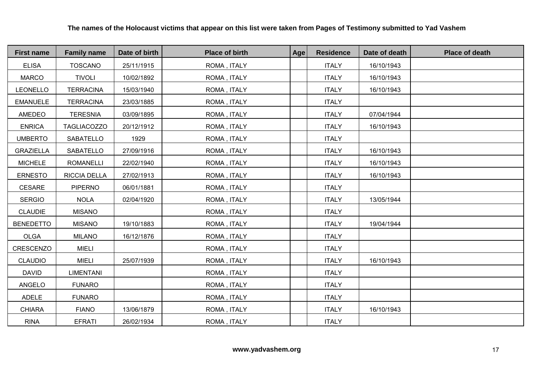| <b>First name</b> | <b>Family name</b> | Date of birth | <b>Place of birth</b> | Age | <b>Residence</b> | Date of death | <b>Place of death</b> |
|-------------------|--------------------|---------------|-----------------------|-----|------------------|---------------|-----------------------|
| <b>ELISA</b>      | <b>TOSCANO</b>     | 25/11/1915    | ROMA, ITALY           |     | <b>ITALY</b>     | 16/10/1943    |                       |
| <b>MARCO</b>      | <b>TIVOLI</b>      | 10/02/1892    | ROMA, ITALY           |     | <b>ITALY</b>     | 16/10/1943    |                       |
| LEONELLO          | <b>TERRACINA</b>   | 15/03/1940    | ROMA, ITALY           |     | <b>ITALY</b>     | 16/10/1943    |                       |
| <b>EMANUELE</b>   | <b>TERRACINA</b>   | 23/03/1885    | ROMA, ITALY           |     | <b>ITALY</b>     |               |                       |
| AMEDEO            | <b>TERESNIA</b>    | 03/09/1895    | ROMA, ITALY           |     | <b>ITALY</b>     | 07/04/1944    |                       |
| <b>ENRICA</b>     | <b>TAGLIACOZZO</b> | 20/12/1912    | ROMA, ITALY           |     | <b>ITALY</b>     | 16/10/1943    |                       |
| <b>UMBERTO</b>    | SABATELLO          | 1929          | ROMA, ITALY           |     | <b>ITALY</b>     |               |                       |
| <b>GRAZIELLA</b>  | SABATELLO          | 27/09/1916    | ROMA, ITALY           |     | <b>ITALY</b>     | 16/10/1943    |                       |
| <b>MICHELE</b>    | <b>ROMANELLI</b>   | 22/02/1940    | ROMA, ITALY           |     | <b>ITALY</b>     | 16/10/1943    |                       |
| <b>ERNESTO</b>    | RICCIA DELLA       | 27/02/1913    | ROMA, ITALY           |     | <b>ITALY</b>     | 16/10/1943    |                       |
| CESARE            | <b>PIPERNO</b>     | 06/01/1881    | ROMA, ITALY           |     | <b>ITALY</b>     |               |                       |
| <b>SERGIO</b>     | <b>NOLA</b>        | 02/04/1920    | ROMA, ITALY           |     | <b>ITALY</b>     | 13/05/1944    |                       |
| <b>CLAUDIE</b>    | <b>MISANO</b>      |               | ROMA, ITALY           |     | <b>ITALY</b>     |               |                       |
| <b>BENEDETTO</b>  | <b>MISANO</b>      | 19/10/1883    | ROMA, ITALY           |     | <b>ITALY</b>     | 19/04/1944    |                       |
| <b>OLGA</b>       | <b>MILANO</b>      | 16/12/1876    | ROMA, ITALY           |     | <b>ITALY</b>     |               |                       |
| CRESCENZO         | <b>MIELI</b>       |               | ROMA, ITALY           |     | <b>ITALY</b>     |               |                       |
| <b>CLAUDIO</b>    | <b>MIELI</b>       | 25/07/1939    | ROMA, ITALY           |     | <b>ITALY</b>     | 16/10/1943    |                       |
| <b>DAVID</b>      | <b>LIMENTANI</b>   |               | ROMA, ITALY           |     | <b>ITALY</b>     |               |                       |
| ANGELO            | <b>FUNARO</b>      |               | ROMA, ITALY           |     | <b>ITALY</b>     |               |                       |
| ADELE             | <b>FUNARO</b>      |               | ROMA, ITALY           |     | <b>ITALY</b>     |               |                       |
| <b>CHIARA</b>     | <b>FIANO</b>       | 13/06/1879    | ROMA, ITALY           |     | <b>ITALY</b>     | 16/10/1943    |                       |
| <b>RINA</b>       | <b>EFRATI</b>      | 26/02/1934    | ROMA, ITALY           |     | <b>ITALY</b>     |               |                       |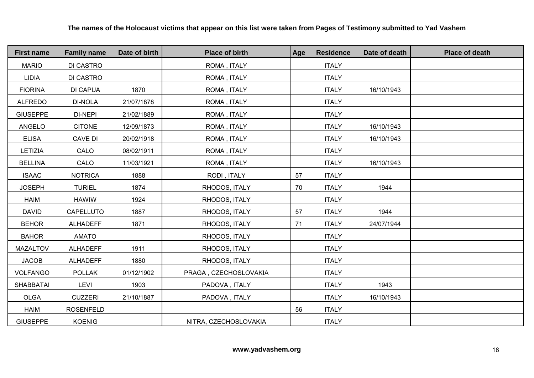| <b>First name</b> | <b>Family name</b> | Date of birth | <b>Place of birth</b> | Age | <b>Residence</b> | Date of death | <b>Place of death</b> |
|-------------------|--------------------|---------------|-----------------------|-----|------------------|---------------|-----------------------|
| <b>MARIO</b>      | DI CASTRO          |               | ROMA, ITALY           |     | <b>ITALY</b>     |               |                       |
| <b>LIDIA</b>      | DI CASTRO          |               | ROMA, ITALY           |     | <b>ITALY</b>     |               |                       |
| <b>FIORINA</b>    | <b>DI CAPUA</b>    | 1870          | ROMA, ITALY           |     | <b>ITALY</b>     | 16/10/1943    |                       |
| <b>ALFREDO</b>    | <b>DI-NOLA</b>     | 21/07/1878    | ROMA, ITALY           |     | <b>ITALY</b>     |               |                       |
| <b>GIUSEPPE</b>   | DI-NEPI            | 21/02/1889    | ROMA, ITALY           |     | <b>ITALY</b>     |               |                       |
| ANGELO            | <b>CITONE</b>      | 12/09/1873    | ROMA, ITALY           |     | <b>ITALY</b>     | 16/10/1943    |                       |
| <b>ELISA</b>      | CAVE DI            | 20/02/1918    | ROMA, ITALY           |     | <b>ITALY</b>     | 16/10/1943    |                       |
| LETIZIA           | CALO               | 08/02/1911    | ROMA, ITALY           |     | <b>ITALY</b>     |               |                       |
| <b>BELLINA</b>    | CALO               | 11/03/1921    | ROMA, ITALY           |     | <b>ITALY</b>     | 16/10/1943    |                       |
| <b>ISAAC</b>      | <b>NOTRICA</b>     | 1888          | RODI, ITALY           | 57  | <b>ITALY</b>     |               |                       |
| <b>JOSEPH</b>     | <b>TURIEL</b>      | 1874          | RHODOS, ITALY         | 70  | <b>ITALY</b>     | 1944          |                       |
| <b>HAIM</b>       | <b>HAWIW</b>       | 1924          | RHODOS, ITALY         |     | <b>ITALY</b>     |               |                       |
| <b>DAVID</b>      | CAPELLUTO          | 1887          | RHODOS, ITALY         | 57  | <b>ITALY</b>     | 1944          |                       |
| <b>BEHOR</b>      | <b>ALHADEFF</b>    | 1871          | RHODOS, ITALY         | 71  | <b>ITALY</b>     | 24/07/1944    |                       |
| <b>BAHOR</b>      | <b>AMATO</b>       |               | RHODOS, ITALY         |     | <b>ITALY</b>     |               |                       |
| MAZALTOV          | <b>ALHADEFF</b>    | 1911          | RHODOS, ITALY         |     | <b>ITALY</b>     |               |                       |
| <b>JACOB</b>      | <b>ALHADEFF</b>    | 1880          | RHODOS, ITALY         |     | <b>ITALY</b>     |               |                       |
| <b>VOLFANGO</b>   | <b>POLLAK</b>      | 01/12/1902    | PRAGA, CZECHOSLOVAKIA |     | <b>ITALY</b>     |               |                       |
| <b>SHABBATAI</b>  | <b>LEVI</b>        | 1903          | PADOVA, ITALY         |     | <b>ITALY</b>     | 1943          |                       |
| <b>OLGA</b>       | <b>CUZZERI</b>     | 21/10/1887    | PADOVA, ITALY         |     | <b>ITALY</b>     | 16/10/1943    |                       |
| <b>HAIM</b>       | <b>ROSENFELD</b>   |               |                       | 56  | <b>ITALY</b>     |               |                       |
| <b>GIUSEPPE</b>   | <b>KOENIG</b>      |               | NITRA, CZECHOSLOVAKIA |     | <b>ITALY</b>     |               |                       |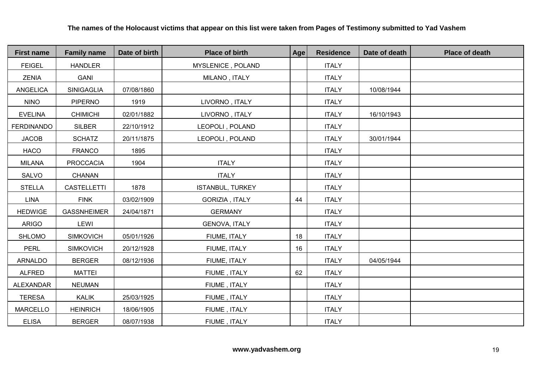| <b>First name</b> | <b>Family name</b> | Date of birth | <b>Place of birth</b>   | Age | <b>Residence</b> | Date of death | <b>Place of death</b> |
|-------------------|--------------------|---------------|-------------------------|-----|------------------|---------------|-----------------------|
| <b>FEIGEL</b>     | <b>HANDLER</b>     |               | MYSLENICE, POLAND       |     | <b>ITALY</b>     |               |                       |
| <b>ZENIA</b>      | <b>GANI</b>        |               | MILANO, ITALY           |     | <b>ITALY</b>     |               |                       |
| <b>ANGELICA</b>   | SINIGAGLIA         | 07/08/1860    |                         |     | <b>ITALY</b>     | 10/08/1944    |                       |
| <b>NINO</b>       | <b>PIPERNO</b>     | 1919          | LIVORNO, ITALY          |     | <b>ITALY</b>     |               |                       |
| <b>EVELINA</b>    | <b>CHIMICHI</b>    | 02/01/1882    | LIVORNO, ITALY          |     | <b>ITALY</b>     | 16/10/1943    |                       |
| <b>FERDINANDO</b> | <b>SILBER</b>      | 22/10/1912    | LEOPOLI, POLAND         |     | <b>ITALY</b>     |               |                       |
| <b>JACOB</b>      | <b>SCHATZ</b>      | 20/11/1875    | LEOPOLI, POLAND         |     | <b>ITALY</b>     | 30/01/1944    |                       |
| <b>HACO</b>       | <b>FRANCO</b>      | 1895          |                         |     | <b>ITALY</b>     |               |                       |
| <b>MILANA</b>     | <b>PROCCACIA</b>   | 1904          | <b>ITALY</b>            |     | <b>ITALY</b>     |               |                       |
| SALVO             | CHANAN             |               | <b>ITALY</b>            |     | <b>ITALY</b>     |               |                       |
| <b>STELLA</b>     | <b>CASTELLETTI</b> | 1878          | <b>ISTANBUL, TURKEY</b> |     | <b>ITALY</b>     |               |                       |
| <b>LINA</b>       | <b>FINK</b>        | 03/02/1909    | GORIZIA, ITALY          | 44  | <b>ITALY</b>     |               |                       |
| <b>HEDWIGE</b>    | <b>GASSNHEIMER</b> | 24/04/1871    | <b>GERMANY</b>          |     | <b>ITALY</b>     |               |                       |
| <b>ARIGO</b>      | LEWI               |               | <b>GENOVA, ITALY</b>    |     | <b>ITALY</b>     |               |                       |
| <b>SHLOMO</b>     | <b>SIMKOVICH</b>   | 05/01/1926    | FIUME, ITALY            | 18  | <b>ITALY</b>     |               |                       |
| <b>PERL</b>       | <b>SIMKOVICH</b>   | 20/12/1928    | FIUME, ITALY            | 16  | <b>ITALY</b>     |               |                       |
| <b>ARNALDO</b>    | <b>BERGER</b>      | 08/12/1936    | FIUME, ITALY            |     | <b>ITALY</b>     | 04/05/1944    |                       |
| <b>ALFRED</b>     | <b>MATTEI</b>      |               | FIUME, ITALY            | 62  | <b>ITALY</b>     |               |                       |
| <b>ALEXANDAR</b>  | <b>NEUMAN</b>      |               | FIUME, ITALY            |     | <b>ITALY</b>     |               |                       |
| <b>TERESA</b>     | <b>KALIK</b>       | 25/03/1925    | FIUME, ITALY            |     | <b>ITALY</b>     |               |                       |
| <b>MARCELLO</b>   | <b>HEINRICH</b>    | 18/06/1905    | FIUME, ITALY            |     | <b>ITALY</b>     |               |                       |
| <b>ELISA</b>      | <b>BERGER</b>      | 08/07/1938    | FIUME, ITALY            |     | <b>ITALY</b>     |               |                       |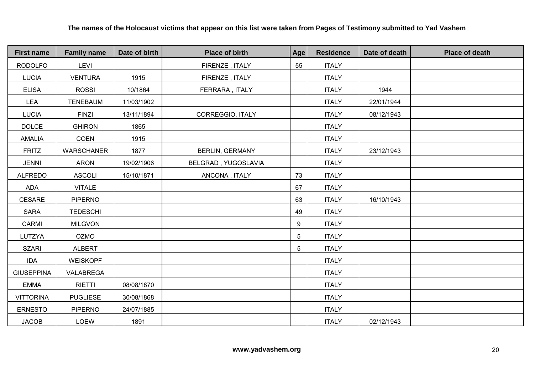**The names of the Holocaust victims that appear on this list were taken from Pages of Testimony submitted to Yad Vashem**

| <b>First name</b> | <b>Family name</b> | Date of birth | <b>Place of birth</b>  | Age             | <b>Residence</b> | Date of death | <b>Place of death</b> |
|-------------------|--------------------|---------------|------------------------|-----------------|------------------|---------------|-----------------------|
| <b>RODOLFO</b>    | LEVI               |               | FIRENZE, ITALY         | 55              | <b>ITALY</b>     |               |                       |
| <b>LUCIA</b>      | <b>VENTURA</b>     | 1915          | FIRENZE, ITALY         |                 | <b>ITALY</b>     |               |                       |
| <b>ELISA</b>      | <b>ROSSI</b>       | 10/1864       | FERRARA, ITALY         |                 | <b>ITALY</b>     | 1944          |                       |
| LEA               | <b>TENEBAUM</b>    | 11/03/1902    |                        |                 | <b>ITALY</b>     | 22/01/1944    |                       |
| <b>LUCIA</b>      | <b>FINZI</b>       | 13/11/1894    | CORREGGIO, ITALY       |                 | <b>ITALY</b>     | 08/12/1943    |                       |
| <b>DOLCE</b>      | <b>GHIRON</b>      | 1865          |                        |                 | <b>ITALY</b>     |               |                       |
| <b>AMALIA</b>     | COEN               | 1915          |                        |                 | <b>ITALY</b>     |               |                       |
| <b>FRITZ</b>      | WARSCHANER         | 1877          | <b>BERLIN, GERMANY</b> |                 | <b>ITALY</b>     | 23/12/1943    |                       |
| <b>JENNI</b>      | <b>ARON</b>        | 19/02/1906    | BELGRAD, YUGOSLAVIA    |                 | <b>ITALY</b>     |               |                       |
| <b>ALFREDO</b>    | <b>ASCOLI</b>      | 15/10/1871    | ANCONA, ITALY          | 73              | <b>ITALY</b>     |               |                       |
| ADA               | <b>VITALE</b>      |               |                        | 67              | <b>ITALY</b>     |               |                       |
| <b>CESARE</b>     | <b>PIPERNO</b>     |               |                        | 63              | <b>ITALY</b>     | 16/10/1943    |                       |
| <b>SARA</b>       | <b>TEDESCHI</b>    |               |                        | 49              | <b>ITALY</b>     |               |                       |
| CARMI             | <b>MILGVON</b>     |               |                        | 9               | <b>ITALY</b>     |               |                       |
| LUTZYA            | <b>OZMO</b>        |               |                        | 5               | <b>ITALY</b>     |               |                       |
| <b>SZARI</b>      | <b>ALBERT</b>      |               |                        | $5\overline{)}$ | <b>ITALY</b>     |               |                       |
| <b>IDA</b>        | <b>WEISKOPF</b>    |               |                        |                 | <b>ITALY</b>     |               |                       |
| <b>GIUSEPPINA</b> | VALABREGA          |               |                        |                 | <b>ITALY</b>     |               |                       |
| <b>EMMA</b>       | <b>RIETTI</b>      | 08/08/1870    |                        |                 | <b>ITALY</b>     |               |                       |
| <b>VITTORINA</b>  | <b>PUGLIESE</b>    | 30/08/1868    |                        |                 | <b>ITALY</b>     |               |                       |
| <b>ERNESTO</b>    | PIPERNO            | 24/07/1885    |                        |                 | <b>ITALY</b>     |               |                       |
| <b>JACOB</b>      | LOEW               | 1891          |                        |                 | <b>ITALY</b>     | 02/12/1943    |                       |